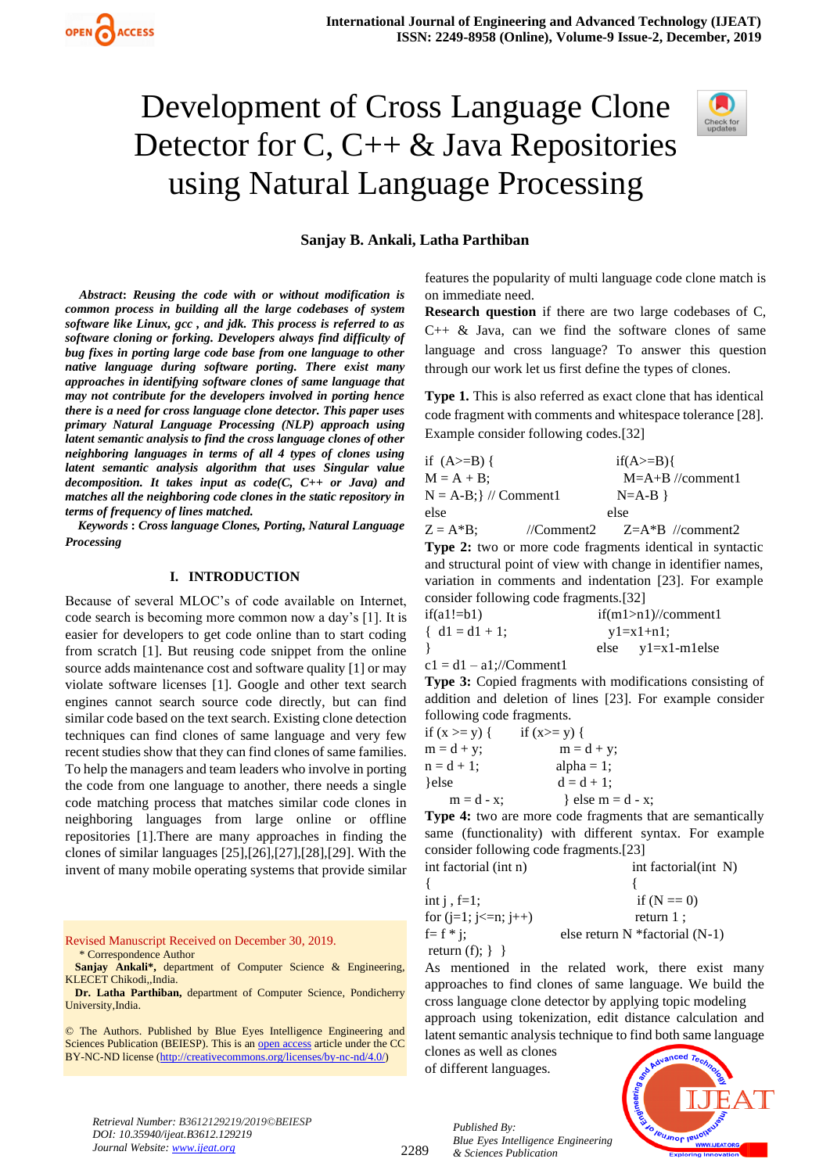# Development of Cross Language Clone Detector for C,  $C_{++} \&$  Java Repositories using Natural Language Processing



#### **Sanjay B. Ankali, Latha Parthiban**

*Abstract***:** *Reusing the code with or without modification is common process in building all the large codebases of system software like Linux, gcc , and jdk. This process is referred to as software cloning or forking. Developers always find difficulty of bug fixes in porting large code base from one language to other native language during software porting. There exist many approaches in identifying software clones of same language that may not contribute for the developers involved in porting hence there is a need for cross language clone detector. This paper uses primary Natural Language Processing (NLP) approach using latent semantic analysis to find the cross language clones of other neighboring languages in terms of all 4 types of clones using latent semantic analysis algorithm that uses Singular value decomposition. It takes input as code(C, C++ or Java) and matches all the neighboring code clones in the static repository in terms of frequency of lines matched.*

 *Keywords* **:** *Cross language Clones, Porting, Natural Language Processing*

#### **I. INTRODUCTION**

Because of several MLOC's of code available on Internet, code search is becoming more common now a day's [1]. It is easier for developers to get code online than to start coding from scratch [1]. But reusing code snippet from the online source adds maintenance cost and software quality [1] or may violate software licenses [1]. Google and other text search engines cannot search source code directly, but can find similar code based on the text search. Existing clone detection techniques can find clones of same language and very few recent studies show that they can find clones of same families. To help the managers and team leaders who involve in porting the code from one language to another, there needs a single code matching process that matches similar code clones in neighboring languages from large online or offline repositories [1].There are many approaches in finding the clones of similar languages [25],[26],[27],[28],[29]. With the invent of many mobile operating systems that provide similar

Revised Manuscript Received on December 30, 2019. \* Correspondence Author

**Sanjay Ankali\*,** department of Computer Science & Engineering, KLECET Chikodi,,India.

**Dr. Latha Parthiban,** department of Computer Science, Pondicherry University,India.

© The Authors. Published by Blue Eyes Intelligence Engineering and Sciences Publication (BEIESP). This is a[n open access](https://www.openaccess.nl/en/open-publications) article under the CC BY-NC-ND license [\(http://creativecommons.org/licenses/by-nc-nd/4.0/\)](http://creativecommons.org/licenses/by-nc-nd/4.0/)

features the popularity of multi language code clone match is on immediate need.

**Research question** if there are two large codebases of C,  $C++ \&$  Java, can we find the software clones of same language and cross language? To answer this question through our work let us first define the types of clones.

**Type 1.** This is also referred as exact clone that has identical code fragment with comments and whitespace tolerance [28]. Example consider following codes.[32]

| if $(A>=B)$ {                          |            | $if(A>=B)$         |
|----------------------------------------|------------|--------------------|
| $M = A + B$ ;                          |            | $M=A+B$ //comment1 |
| $N = A-B$ ; $\frac{1}{2}$ // Comment 1 |            | $N=A-B$            |
| else                                   |            | else               |
| $Z = A * B$ :                          | //Comment2 | $Z=A*B$ //comment2 |

**Type 2:** two or more code fragments identical in syntactic and structural point of view with change in identifier names, variation in comments and indentation [23]. For example consider following code fragments.[32]

| $if(a1!=b1)$      | $if(m1>n1)/\ell$ comment1 |                           |  |
|-------------------|---------------------------|---------------------------|--|
| $\{ d1 = d1 + 1:$ |                           | $vl=x1+n1$ :              |  |
|                   |                           | $else \quad y1=x1-m1else$ |  |

 $c1 = d1 - a1$ ;//Comment1

**Type 3:** Copied fragments with modifications consisting of addition and deletion of lines [23]. For example consider following code fragments.

| if $(x \ge y)$ { | if $(x>= y)$ {    |
|------------------|-------------------|
| $m = d + y$ ;    | $m = d + y$ ;     |
| $n = d + 1$ ;    | alpha $= 1$ ;     |
| }else            | $d = d + 1$ ;     |
| $m = d - x$ ;    | } else m = d - x; |

**Type 4:** two are more code fragments that are semantically same (functionality) with different syntax. For example consider following code fragments.[23]

int factorial (int n) int factorial (int N)

| int $j$ , $f=1$ ;      | if $(N == 0)$                      |
|------------------------|------------------------------------|
| for $(i=1; i<=n; i++)$ | return $1$ :                       |
| $f = f * i$ :          | else return $N$ *factorial $(N-1)$ |
| return $(f)$ ; $\}$ }  |                                    |

As mentioned in the related work, there exist many approaches to find clones of same language. We build the cross language clone detector by applying topic modeling approach using tokenization, edit distance calculation and latent semantic analysis technique to find both same language

clones as well as clones of different languages.



*Retrieval Number: B3612129219/2019©BEIESP DOI: 10.35940/ijeat.B3612.129219 Journal Website[: www.ijeat.org](http://www.ijeat.org/)*

2289

*Published By: Blue Eyes Intelligence Engineering & Sciences Publication*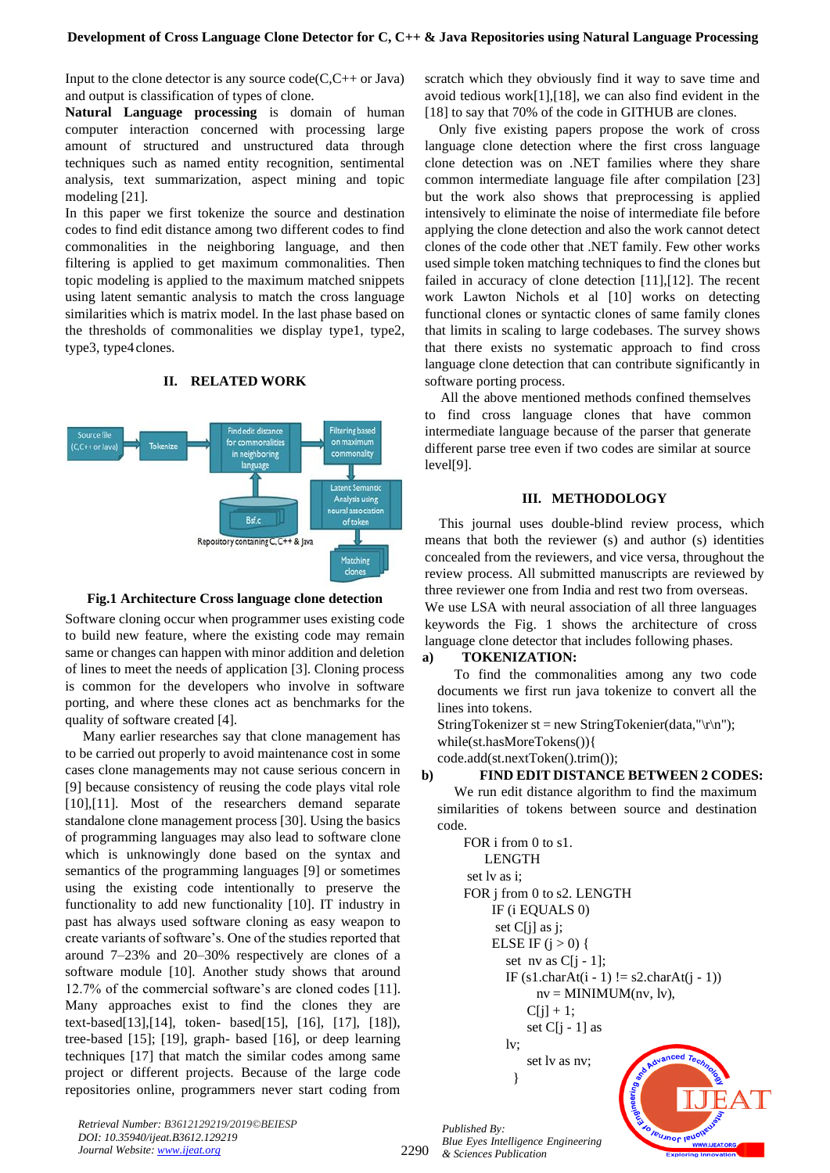Input to the clone detector is any source  $code(C, C++$  or Java) and output is classification of types of clone.

**Natural Language processing** is domain of human computer interaction concerned with processing large amount of structured and unstructured data through techniques such as named entity recognition, sentimental analysis, text summarization, aspect mining and topic modeling [21].

In this paper we first tokenize the source and destination codes to find edit distance among two different codes to find commonalities in the neighboring language, and then filtering is applied to get maximum commonalities. Then topic modeling is applied to the maximum matched snippets using latent semantic analysis to match the cross language similarities which is matrix model. In the last phase based on the thresholds of commonalities we display type1, type2, type3, type4clones.



## **II. RELATED WORK**



Software cloning occur when programmer uses existing code to build new feature, where the existing code may remain same or changes can happen with minor addition and deletion of lines to meet the needs of application [3]. Cloning process is common for the developers who involve in software porting, and where these clones act as benchmarks for the quality of software created [4].

 Many earlier researches say that clone management has to be carried out properly to avoid maintenance cost in some cases clone managements may not cause serious concern in [9] because consistency of reusing the code plays vital role [10],[11]. Most of the researchers demand separate standalone clone management process [30]. Using the basics of programming languages may also lead to software clone which is unknowingly done based on the syntax and semantics of the programming languages [9] or sometimes using the existing code intentionally to preserve the functionality to add new functionality [10]. IT industry in past has always used software cloning as easy weapon to create variants of software's. One of the studies reported that around 7–23% and 20–30% respectively are clones of a software module [10]. Another study shows that around 12.7% of the commercial software's are cloned codes [11]. Many approaches exist to find the clones they are text-based[13],[14], token- based[15], [16], [17], [18]), tree-based [15]; [19], graph- based [16], or deep learning techniques [17] that match the similar codes among same project or different projects. Because of the large code repositories online, programmers never start coding from

scratch which they obviously find it way to save time and avoid tedious work[1],[18], we can also find evident in the [18] to say that 70% of the code in GITHUB are clones.

Only five existing papers propose the work of cross language clone detection where the first cross language clone detection was on .NET families where they share common intermediate language file after compilation [23] but the work also shows that preprocessing is applied intensively to eliminate the noise of intermediate file before applying the clone detection and also the work cannot detect clones of the code other that .NET family. Few other works used simple token matching techniques to find the clones but failed in accuracy of clone detection [11],[12]. The recent work Lawton Nichols et al [10] works on detecting functional clones or syntactic clones of same family clones that limits in scaling to large codebases. The survey shows that there exists no systematic approach to find cross language clone detection that can contribute significantly in software porting process.

 All the above mentioned methods confined themselves to find cross language clones that have common intermediate language because of the parser that generate different parse tree even if two codes are similar at source level[9].

#### **III. METHODOLOGY**

This journal uses double-blind review process, which means that both the reviewer (s) and author (s) identities concealed from the reviewers, and vice versa, throughout the review process. All submitted manuscripts are reviewed by three reviewer one from India and rest two from overseas. We use LSA with neural association of all three languages keywords the Fig. 1 shows the architecture of cross language clone detector that includes following phases.

#### **a) TOKENIZATION:**

To find the commonalities among any two code documents we first run java tokenize to convert all the lines into tokens.

```
StringTokenizer st = new StringTokenier(data,"\r\n");
while(st.hasMoreTokens()){
```
code.add(st.nextToken().trim());

#### **b) FIND EDIT DISTANCE BETWEEN 2 CODES:**

We run edit distance algorithm to find the maximum similarities of tokens between source and destination code.

```
FOR i from 0 to s1. 
    LENGTH
set lv as i; 
FOR j from 0 to s2. LENGTH
     IF (i EQUALS 0)
      set C[j] as j; 
     ELSE IF (j > 0) {
        set nv as C[i - 1];
        IF (s1 \cdot \text{charAt}(i - 1)) = s2 \cdot \text{charAt}(i - 1)nv = MINIMUM(nv, 1v),
            C[i] + 1;set C[i - 1] as
        lv; 
            set lv as nv;
           }
```
eu Inor leu

*Retrieval Number: B3612129219/2019©BEIESP DOI: 10.35940/ijeat.B3612.129219 Journal Website[: www.ijeat.org](http://www.ijeat.org/)*

2290

*Published By: Blue Eyes Intelligence Engineering & Sciences Publication*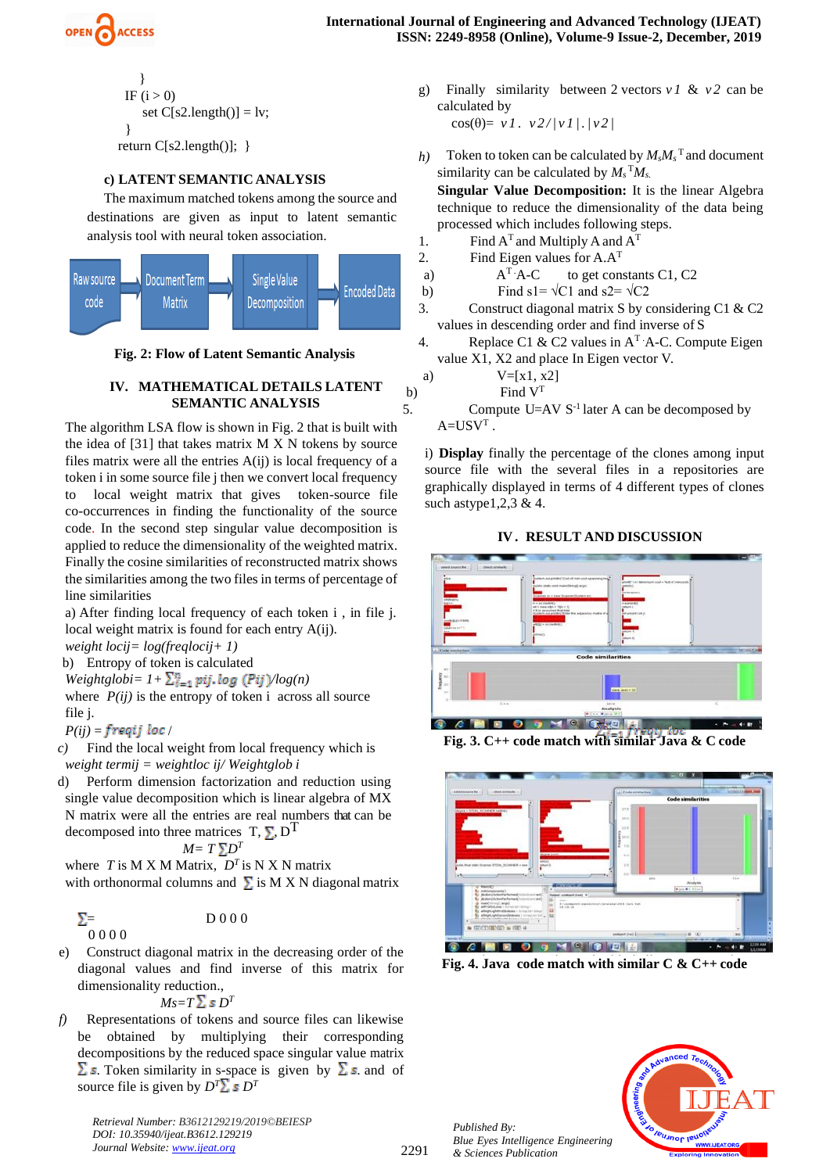

$$
\begin{aligned}\n &\text{IF (i > 0)}\\ \n &\text{set C[s2.length()]} = \text{lv};\\ \n &\text{return C[s2.length()]}; }\n \end{aligned}
$$

## **c) LATENT SEMANTIC ANALYSIS**

The maximum matched tokens among the source and destinations are given as input to latent semantic analysis tool with neural token association.



**Fig. 2: Flow of Latent Semantic Analysis**

#### **IV. MATHEMATICAL DETAILS LATENT SEMANTIC ANALYSIS**

The algorithm LSA flow is shown in Fig. 2 that is built with the idea of [31] that takes matrix M X N tokens by source files matrix were all the entries A(ij) is local frequency of a token i in some source file j then we convert local frequency to local weight matrix that gives token-source file co-occurrences in finding the functionality of the source code. In the second step singular value decomposition is applied to reduce the dimensionality of the weighted matrix. Finally the cosine similarities of reconstructed matrix shows the similarities among the two files in terms of percentage of line similarities

a) After finding local frequency of each token i , in file j. local weight matrix is found for each entry A(ij). *weight locij= log(freqlocij+ 1)*

b) Entropy of token is calculated

 $Weightglobi = 1 + \sum_{i=1}^{n} pij \cdot log(Pij)log(n)$ 

where  $P(ij)$  is the entropy of token i across all source file j.

 $P(ij) = freqij loc /$ 

*c)* Find the local weight from local frequency which is *weight termij = weightloc ij/ Weightglob i*

d) Perform dimension factorization and reduction using single value decomposition which is linear algebra of MX N matrix were all the entries are real numbers that can be decomposed into three matrices  $T, \sum D^{T}$ 

$$
M = T \sum D^T
$$

where *T* is M X M Matrix,  $D<sup>T</sup>$  is N X N matrix with orthonormal columns and  $\Sigma$  is M X N diagonal matrix

$$
\Sigma = \text{D} \, 0 \, 0 \, 0
$$

e) Construct diagonal matrix in the decreasing order of the diagonal values and find inverse of this matrix for dimensionality reduction.,

$$
M{\scriptstyle\mathcal{S}}{=}T\mathop{\Sigma}\limits{\scriptstyle\mathcal{S}}\,D^T
$$

*f)* Representations of tokens and source files can likewise be obtained by multiplying their corresponding decompositions by the reduced space singular value matrix  $\Sigma$  s. Token similarity in s-space is given by  $\Sigma$  s. and of source file is given by  $D^T\Sigma$  *s*  $D^T$ 

*Retrieval Number: B3612129219/2019©BEIESP DOI: 10.35940/ijeat.B3612.129219 Journal Website[: www.ijeat.org](http://www.ijeat.org/)*

g) Finally similarity between 2 vectors *v 1* & *v 2* can be calculated by  $\cos(\theta) = v l \cdot v 2 / (v l / / v^2)$ 

*h*) Token to token can be calculated by  $M_sM_s$ <sup>T</sup> and document similarity can be calculated by  $M_s$ <sup>T</sup> $M_s$ .

**Singular Value Decomposition:** It is the linear Algebra technique to reduce the dimensionality of the data being processed which includes following steps.

- 1. Find  $A<sup>T</sup>$  and Multiply A and  $A<sup>T</sup>$
- 2. Find Eigen values for  $A.A<sup>T</sup>$

a) 
$$
A^T \cdot A - C
$$
 to get constants C1, C2

- b) Find s1=  $\sqrt{C1}$  and s2=  $\sqrt{C2}$
- 3. Construct diagonal matrix S by considering C1 & C2 values in descending order and find inverse of S
- 4. Replace C1 & C2 values in  $A<sup>T</sup> A-C$ . Compute Eigen value X1, X2 and place In Eigen vector V.

a) 
$$
V=[x1, x2]
$$

b) Find V<sup>T</sup>

5. Compute  $U=AV S^{-1}$  later A can be decomposed by  $A = USV<sup>T</sup>$ .

i) **Display** finally the percentage of the clones among input source file with the several files in a repositories are graphically displayed in terms of 4 different types of clones such astype  $1, 2, 3 \& 4$ .

## **IV . RESULT AND DISCUSSION**



**Fig. 3. C++ code match with similar Java & C code**



**Fig. 4. Java code match with similar C & C++ code**



*Published By: Blue Eyes Intelligence Engineering & Sciences Publication*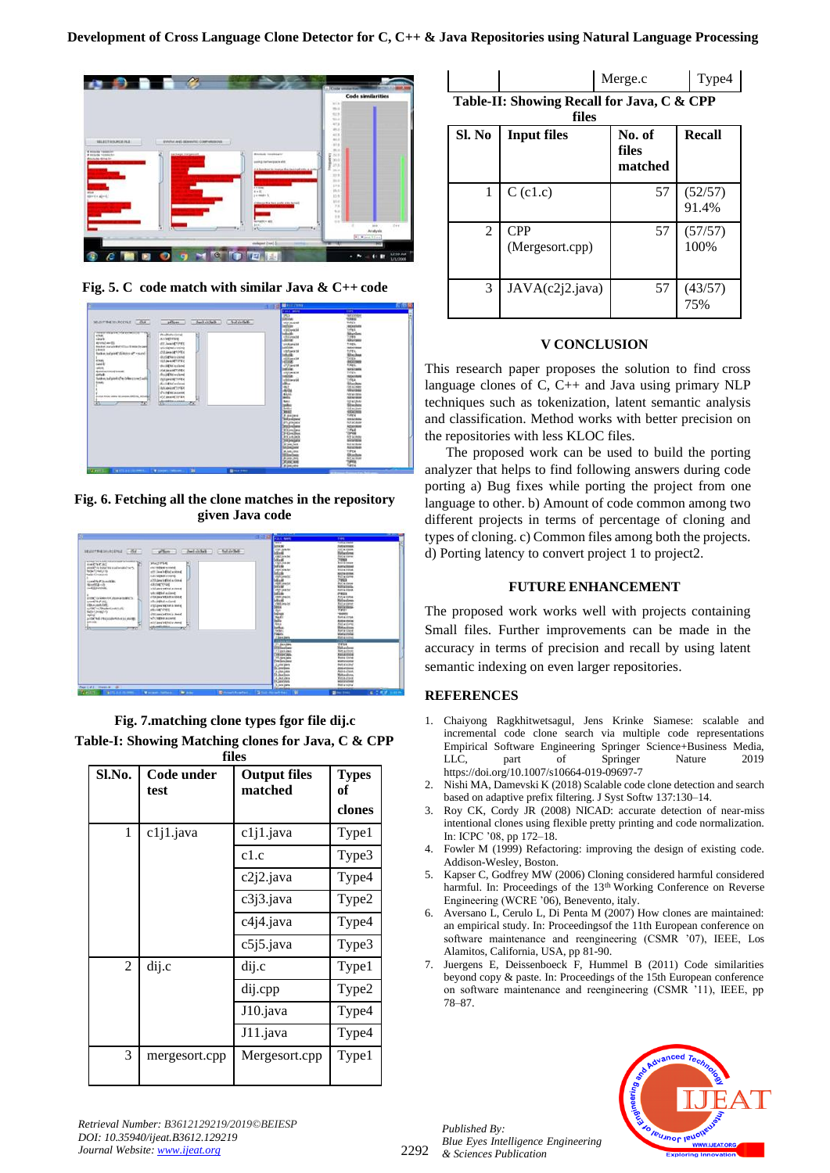

**Fig. 5. C code match with similar Java & C++ code**



**Fig. 6. Fetching all the clone matches in the repository given Java code**

|                                                                                                                            | <b>Part Ave</b><br>500                             | 1111                                              |         |
|----------------------------------------------------------------------------------------------------------------------------|----------------------------------------------------|---------------------------------------------------|---------|
|                                                                                                                            | <b>THEFT</b><br><b>ACCASE</b>                      | <b><i><u>UTERPRETER</u></i></b>                   |         |
|                                                                                                                            | <b>STER JAIN RAL</b>                               | temperature<br>FAIR & Hillard                     |         |
| <b>SELECTRA DILINIERAZIONALE</b><br><b>Challenger</b><br>$-$ princes $-1$<br><b>Justice Service</b>                        | <b>Indiana</b>                                     | <b>Hollandow</b>                                  |         |
|                                                                                                                            | <b>CALCONA BA</b>                                  | Not a chase                                       |         |
| which the control of the control of the books of                                                                           | <b>Salta dill</b>                                  | <b>Volus</b>                                      |         |
| TB.<br><b>WANTIFER</b><br>Е<br><b>HIME'NE ALL</b>                                                                          | CASTINA AR                                         | <b>Rolls &amp; Illinois</b>                       |         |
| <b>INTERNATIONS</b><br>PHARTLY DRAFTFA HAMPHARICTIN'S                                                                      | hofske<br><b><i>UNK SOLAR</i></b>                  | <b>Automational</b><br><b><i>Billia Marys</i></b> |         |
| <b>RESIDENCIES</b><br>affil loss of inductional                                                                            | <b><i><u>SALINE</u></i></b>                        | <b>NICH IDOX</b>                                  |         |
| <b>Nelschimagines</b><br><b><i>SECREMENT</i></b>                                                                           | shift awards                                       | Not writered                                      |         |
| altil peachtfabi a climat.<br>Accept to P. Accordings.                                                                     | <b>Mad</b>                                         | 7968                                              |         |
| <b>GEORGYPEAK</b><br>North Lob                                                                                             | <b>ARRESTOR</b><br><b>MAGNET</b>                   | <b>Not a close</b><br><b>Williams</b>             |         |
| ned ED street.<br>which provide notice and a seriously                                                                     | <b>IRFUNKIN</b>                                    | <b>KIND &amp; MOULE</b>                           |         |
| <b>MAXIMUM ANTIQUES</b>                                                                                                    | <b>Indian</b>                                      | <b>PIRES</b>                                      |         |
| clus parameters river<br>prompt in a strategies first placeman residence in                                                | <b><i>LOOK LANG DE</i></b>                         | <b>Not a china</b>                                |         |
| all a support a change<br><b>HANET SUP AND</b>                                                                             | <b>Mires</b>                                       | <b>Nelwaters</b>                                  |         |
| <b>ENNA LIGATIVE</b><br><b><i>VESSIONAMENTA INVAS</i></b>                                                                  | (TAN Jons In)<br>3004                              | <b>Buildeat</b><br><b>FUFL &amp; USANA</b>        |         |
| actific" i.e. Shortend path 1.0%<br><b>WELLIAM FORES</b>                                                                   | <b>With</b>                                        | アンダクリン                                            |         |
| Nation Services<br><b>STATISTICS</b> (STATISTICS)<br><b>RAFFLE</b>                                                         | 1910                                               | <b>Today</b>                                      |         |
| <b>STCMPEGAGNER</b><br>a refer that infect collection is a shorter                                                         | <b>Back</b>                                        | <b>Built a littima</b>                            |         |
| <b>SPANIC</b><br>al'il isau Mikkin stand                                                                                   | $\overline{\phantom{a}}$                           | <b>Rost accidents</b><br>Fixed and Lengt          |         |
| <b>SELECTION</b><br>bы<br>$-71$                                                                                            | <b>Rike</b><br><b>Safety</b>                       | Metandon                                          |         |
|                                                                                                                            | <b>Called</b>                                      | <b>Next a crime</b>                               |         |
|                                                                                                                            | <b>Sales</b>                                       | <b>Harachie</b>                                   |         |
|                                                                                                                            | // Enriq Jayle<br><b><i><u>DESIGNATION</u></i></b> | <b><i><u>RATA</u></i></b><br><b>TORZE</b>         |         |
|                                                                                                                            | <b>PT January</b>                                  | <b>TIFUE</b>                                      |         |
|                                                                                                                            | <b>IRSI Automa</b>                                 | <b>Tirel and/or</b>                               |         |
|                                                                                                                            | <b>Firebase</b><br><b>CARLING</b>                  | <b>Not active</b><br><b>FALAVIA</b>               |         |
|                                                                                                                            | 141 Graham                                         | <b>Richa cinna</b>                                |         |
|                                                                                                                            | <b>Trelieniana</b>                                 | <b>FAST &amp; WORLD</b>                           |         |
|                                                                                                                            | A print park                                       | <b>Black allowance</b>                            |         |
|                                                                                                                            | <b>Science</b><br>A checken                        | <b><i>REGLATIONS</i></b><br><b>Aixi a clima</b>   |         |
|                                                                                                                            | <b>Cf. Jose Lave</b>                               | <b><i><u>Hotashow</u></i></b>                     |         |
|                                                                                                                            | <b>B. BULLETA</b>                                  | <b>FLAS &amp; ATTICA</b>                          |         |
|                                                                                                                            | <b>CLAINTING</b>                                   | <b>Milan at with man</b>                          |         |
| Fage Call 2 - Haran Af<br>$-48$                                                                                            | <b>Business</b><br>University                      | <b>Real a Installat</b>                           |         |
| Walter Committee Committee<br><b>Benedict Foreman A. P. State Present Press</b><br>Witness Autors<br><b>Card Corporate</b> | w                                                  | <b>Port of the America</b><br><b>Bine from</b>    | ■ 工作的 → |

**Fig. 7.matching clone types fgor file dij.c Table-I: Showing Matching clones for Java, C & CPP** 

|                | files              |                                |                    |  |
|----------------|--------------------|--------------------------------|--------------------|--|
| Sl.No.         | Code under<br>test | <b>Output files</b><br>matched | <b>Types</b><br>оf |  |
|                |                    |                                | clones             |  |
| 1              | c1j1.java          | c1j1.java                      | Type1              |  |
|                |                    | c1.c                           | Type3              |  |
|                |                    | c2j2.java                      | Type4              |  |
|                |                    | c3j3.java                      | Type2              |  |
|                |                    | c4j4.java                      | Type4              |  |
|                |                    | c5j5.java                      | Type3              |  |
| $\overline{2}$ | dij.c              | dij.c                          | Type1              |  |
|                |                    | dij.cpp                        | Type2              |  |
|                |                    | J10.java                       | Type4              |  |
|                |                    | J11.java                       | Type4              |  |
| 3              | mergesort.cpp      | Mergesort.cpp                  | Type1              |  |

|  | Merge.c                                    | Type4 |
|--|--------------------------------------------|-------|
|  | Table-II: Showing Recall for Java, C & CPP |       |

| Sl. No | <b>Input files</b>            | No. of<br>files<br>matched | Recall           |
|--------|-------------------------------|----------------------------|------------------|
| 1      | $C$ (c1.c)                    | 57                         | (52/57)<br>91.4% |
| 2      | <b>CPP</b><br>(Mergesort.cpp) | 57                         | (57/57)<br>100%  |
| 3      | JAVA(c2j2.java)               | 57                         | $(43/57)$<br>75% |

## **V CONCLUSION**

This research paper proposes the solution to find cross language clones of C, C++ and Java using primary NLP techniques such as tokenization, latent semantic analysis and classification. Method works with better precision on the repositories with less KLOC files.

 The proposed work can be used to build the porting analyzer that helps to find following answers during code porting a) Bug fixes while porting the project from one language to other. b) Amount of code common among two different projects in terms of percentage of cloning and types of cloning. c) Common files among both the projects. d) Porting latency to convert project 1 to project2.

## **FUTURE ENHANCEMENT**

The proposed work works well with projects containing Small files. Further improvements can be made in the accuracy in terms of precision and recall by using latent semantic indexing on even larger repositories.

# **REFERENCES**

- 1. Chaiyong Ragkhitwetsagul, Jens Krinke Siamese: scalable and incremental code clone search via multiple code representations Empirical Software Engineering Springer Science+Business Media,<br>LLC, part of Springer Nature 2019 Springer https://doi.org/10.1007/s10664-019-09697-7
- 2. Nishi MA, Damevski K (2018) Scalable code clone detection and search based on adaptive prefix filtering. J Syst Softw 137:130–14.
- 3. Roy CK, Cordy JR (2008) NICAD: accurate detection of near-miss intentional clones using flexible pretty printing and code normalization. In: ICPC '08, pp 172–18.
- 4. Fowler M (1999) Refactoring: improving the design of existing code. Addison-Wesley, Boston.
- 5. Kapser C, Godfrey MW (2006) Cloning considered harmful considered harmful. In: Proceedings of the 13<sup>th</sup> Working Conference on Reverse Engineering (WCRE '06), Benevento, italy.
- 6. Aversano L, Cerulo L, Di Penta M (2007) How clones are maintained: an empirical study. In: Proceedingsof the 11th European conference on software maintenance and reengineering (CSMR '07), IEEE, Los Alamitos, California, USA, pp 81-90.
- 7. Juergens E, Deissenboeck F, Hummel B (2011) Code similarities beyond copy & paste. In: Proceedings of the 15th European conference on software maintenance and reengineering (CSMR '11), IEEE, pp 78–87.